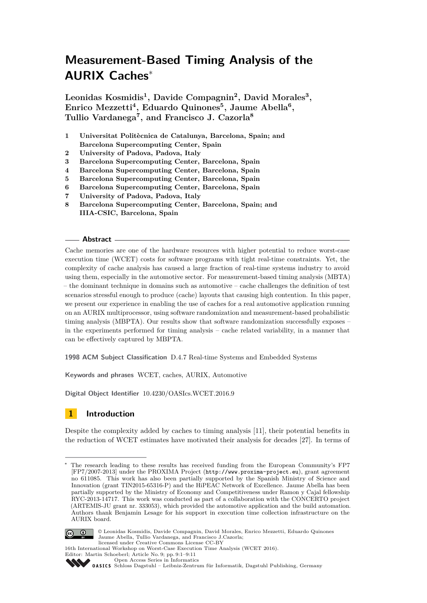# **Measurement-Based Timing Analysis of the AURIX Caches**<sup>∗</sup>

**Leonidas Kosmidis<sup>1</sup> , Davide Compagnin<sup>2</sup> , David Morales<sup>3</sup> , Enrico Mezzetti<sup>4</sup> , Eduardo Quinones<sup>5</sup> , Jaume Abella<sup>6</sup> , Tullio Vardanega<sup>7</sup> , and Francisco J. Cazorla<sup>8</sup>**

- **1 Universitat Politècnica de Catalunya, Barcelona, Spain; and Barcelona Supercomputing Center, Spain**
- **2 University of Padova, Padova, Italy**
- **3 Barcelona Supercomputing Center, Barcelona, Spain**
- **4 Barcelona Supercomputing Center, Barcelona, Spain**
- **5 Barcelona Supercomputing Center, Barcelona, Spain**
- **6 Barcelona Supercomputing Center, Barcelona, Spain**
- **7 University of Padova, Padova, Italy**
- **8 Barcelona Supercomputing Center, Barcelona, Spain; and IIIA-CSIC, Barcelona, Spain**

#### **Abstract**

Cache memories are one of the hardware resources with higher potential to reduce worst-case execution time (WCET) costs for software programs with tight real-time constraints. Yet, the complexity of cache analysis has caused a large fraction of real-time systems industry to avoid using them, especially in the automotive sector. For measurement-based timing analysis (MBTA) – the dominant technique in domains such as automotive – cache challenges the definition of test scenarios stressful enough to produce (cache) layouts that causing high contention. In this paper, we present our experience in enabling the use of caches for a real automotive application running on an AURIX multiprocessor, using software randomization and measurement-based probabilistic timing analysis (MBPTA). Our results show that software randomization successfully exposes – in the experiments performed for timing analysis – cache related variability, in a manner that can be effectively captured by MBPTA.

**1998 ACM Subject Classification** D.4.7 Real-time Systems and Embedded Systems

**Keywords and phrases** WCET, caches, AURIX, Automotive

**Digital Object Identifier** [10.4230/OASIcs.WCET.2016.9](http://dx.doi.org/10.4230/OASIcs.WCET.2016.9)

# **1 Introduction**

Despite the complexity added by caches to timing analysis [\[11\]](#page-9-0), their potential benefits in the reduction of WCET estimates have motivated their analysis for decades [\[27\]](#page-10-0). In terms of

The research leading to these results has received funding from the European Community's FP7 [FP7/2007-2013] under the PROXIMA Project (<http://www.proxima-project.eu>), grant agreement no 611085. This work has also been partially supported by the Spanish Ministry of Science and Innovation (grant TIN2015-65316-P) and the HiPEAC Network of Excellence. Jaume Abella has been partially supported by the Ministry of Economy and Competitiveness under Ramon y Cajal fellowship RYC-2013-14717. This work was conducted as part of a collaboration with the CONCERTO project (ARTEMIS-JU grant nr. 333053), which provided the automotive application and the build automation. Authors thank Benjamin Lesage for his support in execution time collection infrastructure on the AURIX board.



© Leonidas Kosmidis, Davide Compagnin, David Morales, Enrico Mezzetti, Eduardo Quinones Jaume Abella, Tullio Vardanega, and Francisco J.Cazorla; licensed under Creative Commons License CC-BY



OASICS [Schloss Dagstuhl – Leibniz-Zentrum für Informatik, Dagstuhl Publishing, Germany](http://www.dagstuhl.de)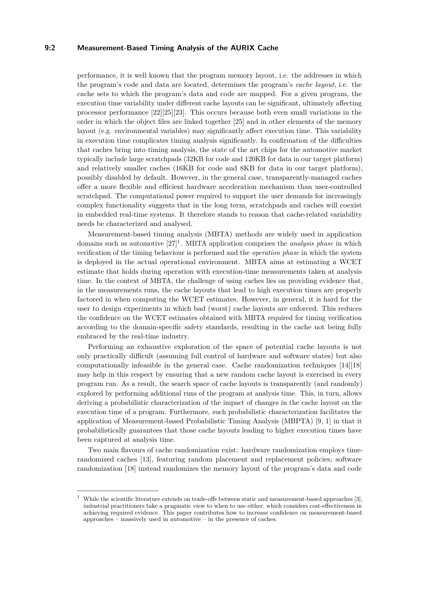## **9:2 Measurement-Based Timing Analysis of the AURIX Cache**

performance, it is well known that the program memory layout, i.e. the addresses in which the program's code and data are located, determines the program's *cache layout*, i.e. the cache sets to which the program's data and code are mapped. For a given program, the execution time variability under different cache layouts can be significant, ultimately affecting processor performance [\[22\]](#page-9-1)[\[25\]](#page-9-2)[\[23\]](#page-9-3). This occurs because both even small variations in the order in which the object files are linked together [\[25\]](#page-9-2) and in other elements of the memory layout (e.g. environmental variables) may significantly affect execution time. This variability in execution time complicates timing analysis significantly. In confirmation of the difficulties that caches bring into timing analysis, the state of the art chips for the automotive market typically include large scratchpads (32KB for code and 120KB for data in our target platform) and relatively smaller caches (16KB for code and 8KB for data in our target platform), possibly disabled by default. However, in the general case, transparently-managed caches offer a more flexible and efficient hardware acceleration mechanism than user-controlled scratchpad. The computational power required to support the user demands for increasingly complex functionality suggests that in the long term, scratchpads and caches will coexist in embedded real-time systems. It therefore stands to reason that cache-related variability needs be characterized and analysed.

Measurement-based timing analysis (MBTA) methods are widely used in application domains such as automotive [\[27\]](#page-10-0) [1](#page-1-0) . MBTA application comprises the *analysis phase* in which verification of the timing behaviour is performed and the *operation phase* in which the system is deployed in the actual operational environment. MBTA aims at estimating a WCET estimate that holds during operation with execution-time measurements taken at analysis time. In the context of MBTA, the challenge of using caches lies on providing evidence that, in the measurements runs, the cache layouts that lead to high execution times are properly factored in when computing the WCET estimates. However, in general, it is hard for the user to design experiments in which bad (worst) cache layouts are enforced. This reduces the confidence on the WCET estimates obtained with MBTA required for timing verification according to the domain-specific safety standards, resulting in the cache not being fully embraced by the real-time industry.

Performing an exhaustive exploration of the space of potential cache layouts is not only practically difficult (assuming full control of hardware and software states) but also computationally infeasible in the general case. Cache randomization techniques [\[14\]](#page-9-4)[\[18\]](#page-9-5) may help in this respect by ensuring that a new random cache layout is exercised in every program run. As a result, the search space of cache layouts is transparently (and randomly) explored by performing additional runs of the program at analysis time. This, in turn, allows deriving a probabilistic characterization of the impact of changes in the cache layout on the execution time of a program. Furthermore, such probabilistic characterization facilitates the application of Measurement-based Probabilistic Timing Analysis (MBPTA) [\[9,](#page-9-6) [1\]](#page-8-0) in that it probabilistically guarantees that those cache layouts leading to higher execution times have been captured at analysis time.

Two main flavours of cache randomization exist: hardware randomization employs timerandomized caches [\[13\]](#page-9-7), featuring random placement and replacement policies; software randomization [\[18\]](#page-9-5) instead randomizes the memory layout of the program's data and code

<span id="page-1-0"></span><sup>1</sup> While the scientific literature extends on trade-offs between static and measurement-based approaches [\[3\]](#page-9-8), industrial practitioners take a pragmatic view to when to use either, which considers cost-effectiveness in achieving required evidence. This paper contributes how to increase confidence on measurement-based approaches – massively used in automotive – in the presence of caches.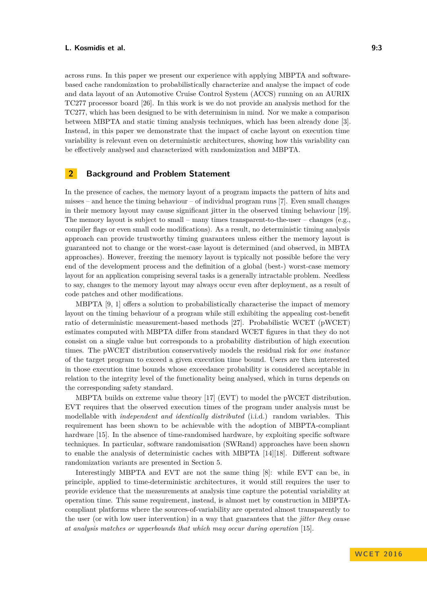across runs. In this paper we present our experience with applying MBPTA and softwarebased cache randomization to probabilistically characterize and analyse the impact of code and data layout of an Automotive Cruise Control System (ACCS) running on an AURIX TC277 processor board [\[26\]](#page-9-9). In this work is we do not provide an analysis method for the TC277, which has been designed to be with determinism in mind. Nor we make a comparison between MBPTA and static timing analysis techniques, which has been already done [\[3\]](#page-9-8). Instead, in this paper we demonstrate that the impact of cache layout on execution time variability is relevant even on deterministic architectures, showing how this variability can be effectively analysed and characterized with randomization and MBPTA.

# **2 Background and Problem Statement**

In the presence of caches, the memory layout of a program impacts the pattern of hits and misses – and hence the timing behaviour – of individual program runs  $[7]$ . Even small changes in their memory layout may cause significant jitter in the observed timing behaviour [\[19\]](#page-9-11). The memory layout is subject to small – many times transparent-to-the-user – changes (e.g., compiler flags or even small code modifications). As a result, no deterministic timing analysis approach can provide trustworthy timing guarantees unless either the memory layout is guaranteed not to change or the worst-case layout is determined (and observed, in MBTA approaches). However, freezing the memory layout is typically not possible before the very end of the development process and the definition of a global (best-) worst-case memory layout for an application comprising several tasks is a generally intractable problem. Needless to say, changes to the memory layout may always occur even after deployment, as a result of code patches and other modifications.

MBPTA [\[9,](#page-9-6) [1\]](#page-8-0) offers a solution to probabilistically characterise the impact of memory layout on the timing behaviour of a program while still exhibiting the appealing cost-benefit ratio of deterministic measurement-based methods [\[27\]](#page-10-0). Probabilistic WCET (pWCET) estimates computed with MBPTA differ from standard WCET figures in that they do not consist on a single value but corresponds to a probability distribution of high execution times. The pWCET distribution conservatively models the residual risk for *one instance* of the target program to exceed a given execution time bound. Users are then interested in those execution time bounds whose exceedance probability is considered acceptable in relation to the integrity level of the functionality being analysed, which in turns depends on the corresponding safety standard.

MBPTA builds on extreme value theory [\[17\]](#page-9-12) (EVT) to model the pWCET distribution. EVT requires that the observed execution times of the program under analysis must be modellable with *independent and identically distributed* (i.i.d.) random variables. This requirement has been shown to be achievable with the adoption of MBPTA-compliant hardware [\[15\]](#page-9-13). In the absence of time-randomised hardware, by exploiting specific software techniques. In particular, software randomisation (SWRand) approaches have been shown to enable the analysis of deterministic caches with MBPTA [\[14\]](#page-9-4)[\[18\]](#page-9-5). Different software randomization variants are presented in Section [5.](#page-5-0)

Interestingly MBPTA and EVT are not the same thing [\[8\]](#page-9-14): while EVT can be, in principle, applied to time-deterministic architectures, it would still requires the user to provide evidence that the measurements at analysis time capture the potential variability at operation time. This same requirement, instead, is almost met by construction in MBPTAcompliant platforms where the sources-of-variability are operated almost transparently to the user (or with low user intervention) in a way that guarantees that the *jitter they cause at analysis matches or upperbounds that which may occur during operation* [\[15\]](#page-9-13).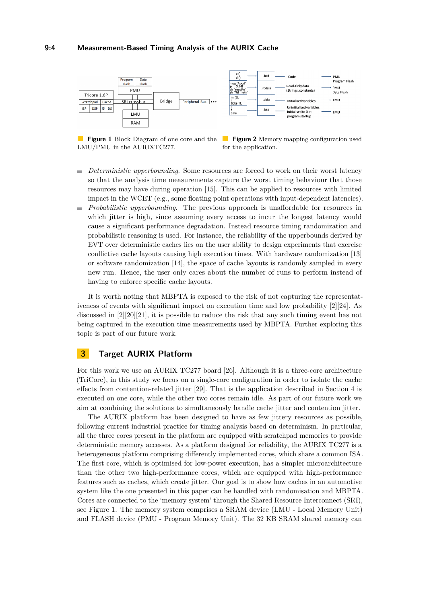<span id="page-3-0"></span>

LMU/PMU in the AURIXTC277.

**Figure 1** Block Diagram of one core and the **Figure 2** Memory mapping configuration used for the application.

- *Deterministic upperbounding*. Some resources are forced to work on their worst latency  $\rightarrow$ so that the analysis time measurements capture the worst timing behaviour that those resources may have during operation [\[15\]](#page-9-13). This can be applied to resources with limited impact in the WCET (e.g., some floating point operations with input-dependent latencies).
- *Probabilistic upperbounding*. The previous approach is unaffordable for resources in  $\blacksquare$ which jitter is high, since assuming every access to incur the longest latency would cause a significant performance degradation. Instead resource timing randomization and probabilistic reasoning is used. For instance, the reliability of the upperbounds derived by EVT over deterministic caches lies on the user ability to design experiments that exercise conflictive cache layouts causing high execution times. With hardware randomization [\[13\]](#page-9-7) or software randomization [\[14\]](#page-9-4), the space of cache layouts is randomly sampled in every new run. Hence, the user only cares about the number of runs to perform instead of having to enforce specific cache layouts.

It is worth noting that MBPTA is exposed to the risk of not capturing the representativeness of events with significant impact on execution time and low probability [\[2\]](#page-9-15)[\[24\]](#page-9-16). As discussed in [\[2\]](#page-9-15)[\[20\]](#page-9-17)[\[21\]](#page-9-18), it is possible to reduce the risk that any such timing event has not being captured in the execution time measurements used by MBPTA. Further exploring this topic is part of our future work.

# <span id="page-3-1"></span>**3 Target AURIX Platform**

For this work we use an AURIX TC277 board [\[26\]](#page-9-9). Although it is a three-core architecture (TriCore), in this study we focus on a single-core configuration in order to isolate the cache effects from contention-related jitter [\[29\]](#page-10-2). That is the application described in Section [4](#page-4-0) is executed on one core, while the other two cores remain idle. As part of our future work we aim at combining the solutions to simultaneously handle cache jitter and contention jitter.

The AURIX platform has been designed to have as few jittery resources as possible, following current industrial practice for timing analysis based on determinism. In particular, all the three cores present in the platform are equipped with scratchpad memories to provide deterministic memory accesses. As a platform designed for reliability, the AURIX TC277 is a heterogeneous platform comprising differently implemented cores, which share a common ISA. The first core, which is optimised for low-power execution, has a simpler microarchitecture than the other two high-performance cores, which are equipped with high-performance features such as caches, which create jitter. Our goal is to show how caches in an automotive system like the one presented in this paper can be handled with randomisation and MBPTA. Cores are connected to the 'memory system' through the Shared Resource Interconnect (SRI), see Figure [1.](#page-3-0) The memory system comprises a SRAM device (LMU - Local Memory Unit) and FLASH device (PMU - Program Memory Unit). The 32 KB SRAM shared memory can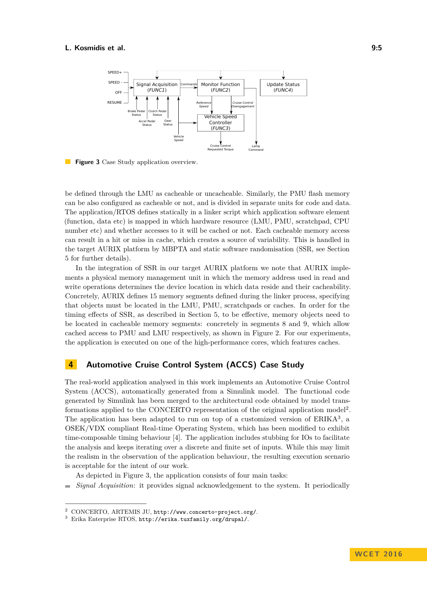<span id="page-4-3"></span>

**Figure 3** Case Study application overview.  $\mathcal{L}^{\text{max}}$ 

be defined through the LMU as cacheable or uncacheable. Similarly, the PMU flash memory can be also configured as cacheable or not, and is divided in separate units for code and data. The application/RTOS defines statically in a linker script which application software element (function, data etc) is mapped in which hardware resource (LMU, PMU, scratchpad, CPU number etc) and whether accesses to it will be cached or not. Each cacheable memory access can result in a hit or miss in cache, which creates a source of variability. This is handled in the target AURIX platform by MBPTA and static software randomisation (SSR, see Section [5](#page-5-0) for further details).

In the integration of SSR in our target AURIX platform we note that AURIX implements a physical memory management unit in which the memory address used in read and write operations determines the device location in which data reside and their cacheability. Concretely, AURIX defines 15 memory segments defined during the linker process, specifying that objects must be located in the LMU, PMU, scratchpads or caches. In order for the timing effects of SSR, as described in Section [5,](#page-5-0) to be effective, memory objects need to be located in cacheable memory segments: concretely in segments 8 and 9, which allow cached access to PMU and LMU respectively, as shown in Figure [2.](#page-3-0) For our experiments, the application is executed on one of the high-performance cores, which features caches.

# <span id="page-4-0"></span>**4 Automotive Cruise Control System (ACCS) Case Study**

The real-world application analysed in this work implements an Automotive Cruise Control System (ACCS), automatically generated from a Simulink model. The functional code generated by Simulink has been merged to the architectural code obtained by model trans-formations applied to the CONCERTO representation of the original application model<sup>[2](#page-4-1)</sup>. The application has been adapted to run on top of a customized version of ERIKA<sup>[3](#page-4-2)</sup>, a OSEK/VDX compliant Real-time Operating System, which has been modified to exhibit time-composable timing behaviour [\[4\]](#page-9-19). The application includes stubbing for IOs to facilitate the analysis and keeps iterating over a discrete and finite set of inputs. While this may limit the realism in the observation of the application behaviour, the resulting execution scenario is acceptable for the intent of our work.

As depicted in Figure [3,](#page-4-3) the application consists of four main tasks:

*Signal Acquisition*: it provides signal acknowledgement to the system. It periodically

<span id="page-4-1"></span><sup>2</sup> CONCERTO, ARTEMIS JU, <http://www.concerto-project.org/>.

<span id="page-4-2"></span><sup>3</sup> Erika Enterprise RTOS, <http://erika.tuxfamily.org/drupal/>.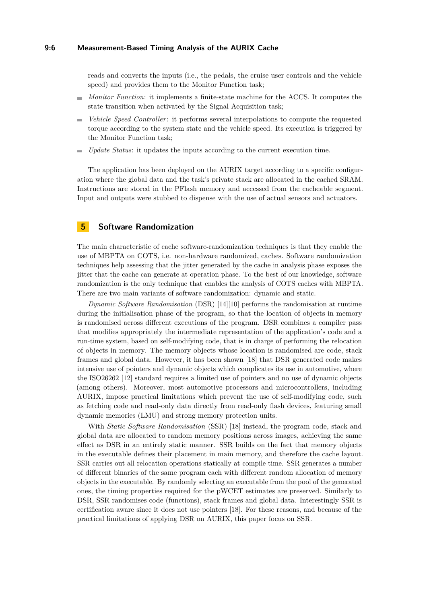#### **9:6 Measurement-Based Timing Analysis of the AURIX Cache**

reads and converts the inputs (i.e., the pedals, the cruise user controls and the vehicle speed) and provides them to the Monitor Function task;

- *Monitor Function*: it implements a finite-state machine for the ACCS. It computes the state transition when activated by the Signal Acquisition task;
- *Vehicle Speed Controller*: it performs several interpolations to compute the requested torque according to the system state and the vehicle speed. Its execution is triggered by the Monitor Function task;
- *Update Status*: it updates the inputs according to the current execution time.

The application has been deployed on the AURIX target according to a specific configuration where the global data and the task's private stack are allocated in the cached SRAM. Instructions are stored in the PFlash memory and accessed from the cacheable segment. Input and outputs were stubbed to dispense with the use of actual sensors and actuators.

## <span id="page-5-0"></span>**5 Software Randomization**

The main characteristic of cache software-randomization techniques is that they enable the use of MBPTA on COTS, i.e. non-hardware randomized, caches. Software randomization techniques help assessing that the jitter generated by the cache in analysis phase exposes the jitter that the cache can generate at operation phase. To the best of our knowledge, software randomization is the only technique that enables the analysis of COTS caches with MBPTA. There are two main variants of software randomization: dynamic and static.

*Dynamic Software Randomisation* (DSR) [\[14\]](#page-9-4)[\[10\]](#page-9-20) performs the randomisation at runtime during the initialisation phase of the program, so that the location of objects in memory is randomised across different executions of the program. DSR combines a compiler pass that modifies appropriately the intermediate representation of the application's code and a run-time system, based on self-modifying code, that is in charge of performing the relocation of objects in memory. The memory objects whose location is randomised are code, stack frames and global data. However, it has been shown [\[18\]](#page-9-5) that DSR generated code makes intensive use of pointers and dynamic objects which complicates its use in automotive, where the ISO26262 [\[12\]](#page-9-21) standard requires a limited use of pointers and no use of dynamic objects (among others). Moreover, most automotive processors and microcontrollers, including AURIX, impose practical limitations which prevent the use of self-modifying code, such as fetching code and read-only data directly from read-only flash devices, featuring small dynamic memories (LMU) and strong memory protection units.

With *Static Software Randomisation* (SSR) [\[18\]](#page-9-5) instead, the program code, stack and global data are allocated to random memory positions across images, achieving the same effect as DSR in an entirely static manner. SSR builds on the fact that memory objects in the executable defines their placement in main memory, and therefore the cache layout. SSR carries out all relocation operations statically at compile time. SSR generates a number of different binaries of the same program each with different random allocation of memory objects in the executable. By randomly selecting an executable from the pool of the generated ones, the timing properties required for the pWCET estimates are preserved. Similarly to DSR, SSR randomises code (functions), stack frames and global data. Interestingly SSR is certification aware since it does not use pointers [\[18\]](#page-9-5). For these reasons, and because of the practical limitations of applying DSR on AURIX, this paper focus on SSR.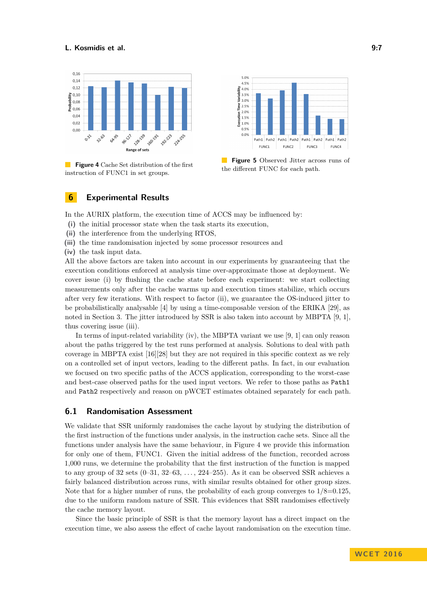<span id="page-6-0"></span>

**Figure 4** Cache Set distribution of the first instruction of FUNC1 in set groups.



**Figure 5** Observed Jitter across runs of the different FUNC for each path.

## **6 Experimental Results**

In the AURIX platform, the execution time of ACCS may be influenced by:

- **(i)** the initial processor state when the task starts its execution,
- **(ii)** the interference from the underlying RTOS,
- **(iii)** the time randomisation injected by some processor resources and
- **(iv)** the task input data.

All the above factors are taken into account in our experiments by guaranteeing that the execution conditions enforced at analysis time over-approximate those at deployment. We cover issue (i) by flushing the cache state before each experiment: we start collecting measurements only after the cache warms up and execution times stabilize, which occurs after very few iterations. With respect to factor (ii), we guarantee the OS-induced jitter to be probabilistically analysable [\[4\]](#page-9-19) by using a time-composable version of the ERIKA [\[29\]](#page-10-2), as noted in Section [3.](#page-3-1) The jitter introduced by SSR is also taken into account by MBPTA [\[9,](#page-9-6) [1\]](#page-8-0), thus covering issue (iii).

In terms of input-related variability (iv), the MBPTA variant we use [\[9,](#page-9-6) [1\]](#page-8-0) can only reason about the paths triggered by the test runs performed at analysis. Solutions to deal with path coverage in MBPTA exist [\[16\]](#page-9-22)[\[28\]](#page-10-3) but they are not required in this specific context as we rely on a controlled set of input vectors, leading to the different paths. In fact, in our evaluation we focused on two specific paths of the ACCS application, corresponding to the worst-case and best-case observed paths for the used input vectors. We refer to those paths as Path1 and Path2 respectively and reason on pWCET estimates obtained separately for each path.

## **6.1 Randomisation Assessment**

We validate that SSR uniformly randomises the cache layout by studying the distribution of the first instruction of the functions under analysis, in the instruction cache sets. Since all the functions under analysis have the same behaviour, in Figure [4](#page-6-0) we provide this information for only one of them, FUNC1. Given the initial address of the function, recorded across 1,000 runs, we determine the probability that the first instruction of the function is mapped to any group of 32 sets  $(0-31, 32-63, \ldots, 224-255)$ . As it can be observed SSR achieves a fairly balanced distribution across runs, with similar results obtained for other group sizes. Note that for a higher number of runs, the probability of each group converges to  $1/8=0.125$ , due to the uniform random nature of SSR. This evidences that SSR randomises effectively the cache memory layout.

Since the basic principle of SSR is that the memory layout has a direct impact on the execution time, we also assess the effect of cache layout randomisation on the execution time.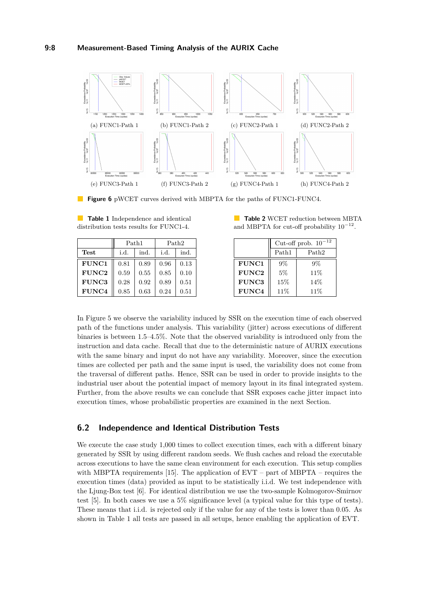<span id="page-7-1"></span>

**Figure 6** pWCET curves derived with MBPTA for the paths of FUNC1-FUNC4.

<span id="page-7-0"></span>

| <b>Table 1</b> Independence and identical |  |  |
|-------------------------------------------|--|--|
| distribution tests results for FUNC1-4.   |  |  |
|                                           |  |  |

|              | Path1 |      | Path <sub>2</sub> |      |
|--------------|-------|------|-------------------|------|
| Test         | i.d.  | ind. | i.d.              | ind. |
| <b>FUNC1</b> | 0.81  | 0.89 | 0.96              | 0.13 |
| <b>FUNC2</b> | 0.59  | 0.55 | 0.85              | 0.10 |
| <b>FUNC3</b> | 0.28  | 0.92 | 0.89              | 0.51 |
| FUNC4        | 0.85  | 0.63 | 0.24              | 0.51 |

|  |  |  | <b>Table 2 WCET reduction between MBTA</b>     |  |
|--|--|--|------------------------------------------------|--|
|  |  |  | and MBPTA for cut-off probability $10^{-12}$ . |  |

|              | Cut-off prob. $10^{-12}$ |                   |  |
|--------------|--------------------------|-------------------|--|
|              | Path1                    | Path <sub>2</sub> |  |
| <b>FUNC1</b> | $9\%$                    | $9\%$             |  |
| FUNC2        | 5%                       | 11%               |  |
| <b>FUNC3</b> | 15%                      | 14%               |  |
| FUNC4        | 11%                      | 11\%              |  |

In Figure [5](#page-6-0) we observe the variability induced by SSR on the execution time of each observed path of the functions under analysis. This variability (jitter) across executions of different binaries is between 1.5–4.5%. Note that the observed variability is introduced only from the instruction and data cache. Recall that due to the deterministic nature of AURIX executions with the same binary and input do not have any variability. Moreover, since the execution times are collected per path and the same input is used, the variability does not come from the traversal of different paths. Hence, SSR can be used in order to provide insights to the industrial user about the potential impact of memory layout in its final integrated system. Further, from the above results we can conclude that SSR exposes cache jitter impact into execution times, whose probabilistic properties are examined in the next Section.

## **6.2 Independence and Identical Distribution Tests**

We execute the case study 1,000 times to collect execution times, each with a different binary generated by SSR by using different random seeds. We flush caches and reload the executable across executions to have the same clean environment for each execution. This setup complies with MBPTA requirements [\[15\]](#page-9-13). The application of EVT – part of MBPTA – requires the execution times (data) provided as input to be statistically i.i.d. We test independence with the Ljung-Box test [\[6\]](#page-9-23). For identical distribution we use the two-sample Kolmogorov-Smirnov test [\[5\]](#page-9-24). In both cases we use a 5% significance level (a typical value for this type of tests). These means that i.i.d. is rejected only if the value for any of the tests is lower than 0.05. As shown in Table [1](#page-7-0) all tests are passed in all setups, hence enabling the application of EVT.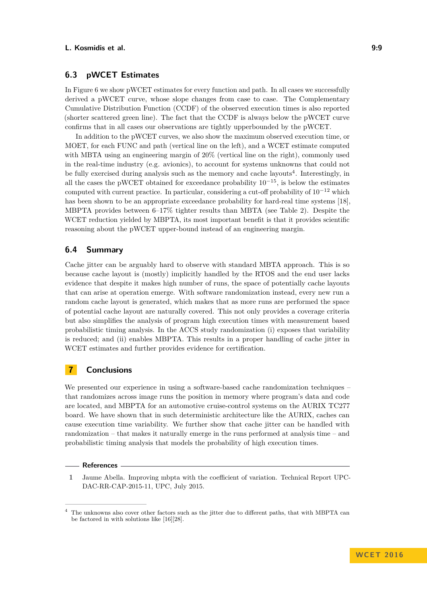## **6.3 pWCET Estimates**

In Figure [6](#page-7-1) we show pWCET estimates for every function and path. In all cases we successfully derived a pWCET curve, whose slope changes from case to case. The Complementary Cumulative Distribution Function (CCDF) of the observed execution times is also reported (shorter scattered green line). The fact that the CCDF is always below the pWCET curve confirms that in all cases our observations are tightly upperbounded by the pWCET.

In addition to the pWCET curves, we also show the maximum observed execution time, or MOET, for each FUNC and path (vertical line on the left), and a WCET estimate computed with MBTA using an engineering margin of 20% (vertical line on the right), commonly used in the real-time industry (e.g. avionics), to account for systems unknowns that could not be fully exercised during analysis such as the memory and cache layouts<sup>[4](#page-8-1)</sup>. Interestingly, in all the cases the pWCET obtained for exceedance probability  $10^{-15}$ , is below the estimates computed with current practice. In particular, considering a cut-off probability of  $10^{-12}$  which has been shown to be an appropriate exceedance probability for hard-real time systems [\[18\]](#page-9-5). MBPTA provides between 6–17% tighter results than MBTA (see Table [2\)](#page-7-0). Despite the WCET reduction yielded by MBPTA, its most important benefit is that it provides scientific reasoning about the pWCET upper-bound instead of an engineering margin.

# **6.4 Summary**

Cache jitter can be arguably hard to observe with standard MBTA approach. This is so because cache layout is (mostly) implicitly handled by the RTOS and the end user lacks evidence that despite it makes high number of runs, the space of potentially cache layouts that can arise at operation emerge. With software randomization instead, every new run a random cache layout is generated, which makes that as more runs are performed the space of potential cache layout are naturally covered. This not only provides a coverage criteria but also simplifies the analysis of program high execution times with measurement based probabilistic timing analysis. In the ACCS study randomization (i) exposes that variability is reduced; and (ii) enables MBPTA. This results in a proper handling of cache jitter in WCET estimates and further provides evidence for certification.

# **7 Conclusions**

We presented our experience in using a software-based cache randomization techniques – that randomizes across image runs the position in memory where program's data and code are located, and MBPTA for an automotive cruise-control systems on the AURIX TC277 board. We have shown that in such deterministic architecture like the AURIX, caches can cause execution time variability. We further show that cache jitter can be handled with randomization – that makes it naturally emerge in the runs performed at analysis time – and probabilistic timing analysis that models the probability of high execution times.

#### **References**

<span id="page-8-0"></span>**1** Jaume Abella. Improving mbpta with the coefficient of variation. Technical Report UPC-DAC-RR-CAP-2015-11, UPC, July 2015.

<span id="page-8-1"></span><sup>4</sup> The unknowns also cover other factors such as the jitter due to different paths, that with MBPTA can be factored in with solutions like [\[16\]](#page-9-22)[\[28\]](#page-10-3).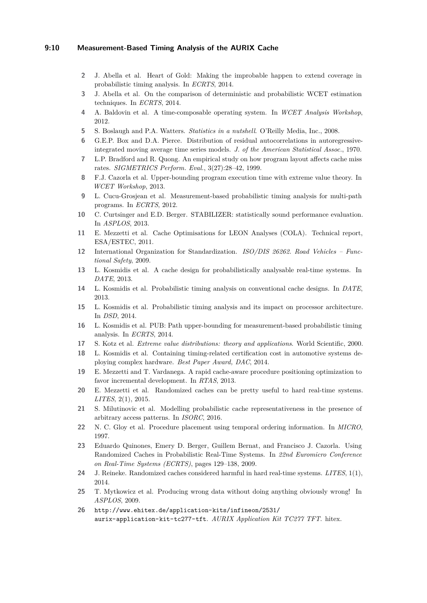## **9:10 Measurement-Based Timing Analysis of the AURIX Cache**

- <span id="page-9-15"></span>**2** J. Abella et al. Heart of Gold: Making the improbable happen to extend coverage in probabilistic timing analysis. In *ECRTS*, 2014.
- <span id="page-9-8"></span>**3** J. Abella et al. On the comparison of deterministic and probabilistic WCET estimation techniques. In *ECRTS*, 2014.
- <span id="page-9-19"></span>**4** A. Baldovin et al. A time-composable operating system. In *WCET Analysis Workshop*, 2012.
- <span id="page-9-24"></span>**5** S. Boslaugh and P.A. Watters. *Statistics in a nutshell*. O'Reilly Media, Inc., 2008.
- <span id="page-9-23"></span>**6** G.E.P. Box and D.A. Pierce. Distribution of residual autocorrelations in autoregressiveintegrated moving average time series models. *J. of the American Statistical Assoc.*, 1970.
- <span id="page-9-10"></span>**7** L.P. Bradford and R. Quong. An empirical study on how program layout affects cache miss rates. *SIGMETRICS Perform. Eval.*, 3(27):28–42, 1999.
- <span id="page-9-14"></span>**8** F.J. Cazorla et al. Upper-bounding program execution time with extreme value theory. In *WCET Workshop*, 2013.
- <span id="page-9-6"></span>**9** L. Cucu-Grosjean et al. Measurement-based probabilistic timing analysis for multi-path programs. In *ECRTS*, 2012.
- <span id="page-9-20"></span>**10** C. Curtsinger and E.D. Berger. STABILIZER: statistically sound performance evaluation. In *ASPLOS*, 2013.
- <span id="page-9-0"></span>**11** E. Mezzetti et al. Cache Optimisations for LEON Analyses (COLA). Technical report, ESA/ESTEC, 2011.
- <span id="page-9-21"></span>**12** International Organization for Standardization. *ISO/DIS 26262. Road Vehicles – Functional Safety*, 2009.
- <span id="page-9-7"></span>**13** L. Kosmidis et al. A cache design for probabilistically analysable real-time systems. In *DATE*, 2013.
- <span id="page-9-4"></span>**14** L. Kosmidis et al. Probabilistic timing analysis on conventional cache designs. In *DATE*, 2013.
- <span id="page-9-13"></span>**15** L. Kosmidis et al. Probabilistic timing analysis and its impact on processor architecture. In *DSD*, 2014.
- <span id="page-9-22"></span>**16** L. Kosmidis et al. PUB: Path upper-bounding for measurement-based probabilistic timing analysis. In *ECRTS*, 2014.
- <span id="page-9-12"></span>**17** S. Kotz et al. *Extreme value distributions: theory and applications*. World Scientific, 2000.
- <span id="page-9-5"></span>**18** L. Kosmidis et al. Containing timing-related certification cost in automotive systems deploying complex hardware. *Best Paper Award, DAC*, 2014.
- <span id="page-9-11"></span>**19** E. Mezzetti and T. Vardanega. A rapid cache-aware procedure positioning optimization to favor incremental development. In *RTAS*, 2013.
- <span id="page-9-17"></span>**20** E. Mezzetti et al. Randomized caches can be pretty useful to hard real-time systems. *LITES*, 2(1), 2015.
- <span id="page-9-18"></span>**21** S. Milutinovic et al. Modelling probabilistic cache representativeness in the presence of arbitrary access patterns. In *ISORC*, 2016.
- <span id="page-9-1"></span>**22** N. C. Gloy et al. Procedure placement using temporal ordering information. In *MICRO*, 1997.
- <span id="page-9-3"></span>**23** Eduardo Quinones, Emery D. Berger, Guillem Bernat, and Francisco J. Cazorla. Using Randomized Caches in Probabilistic Real-Time Systems. In *22nd Euromicro Conference on Real-Time Systems (ECRTS)*, pages 129–138, 2009.
- <span id="page-9-16"></span>**24** J. Reineke. Randomized caches considered harmful in hard real-time systems. *LITES*, 1(1), 2014.
- <span id="page-9-2"></span>**25** T. Mytkowicz et al. Producing wrong data without doing anything obviously wrong! In *ASPLOS*, 2009.
- <span id="page-9-9"></span>**26** [http://www.ehitex.de/application-kits/infineon/2531/](http://www.ehitex.de/application-kits/infineon/2531/aurix-application-kit-tc277-tft ) [aurix-application-kit-tc277-tft](http://www.ehitex.de/application-kits/infineon/2531/aurix-application-kit-tc277-tft ). *AURIX Application Kit TC277 TFT*. hitex.